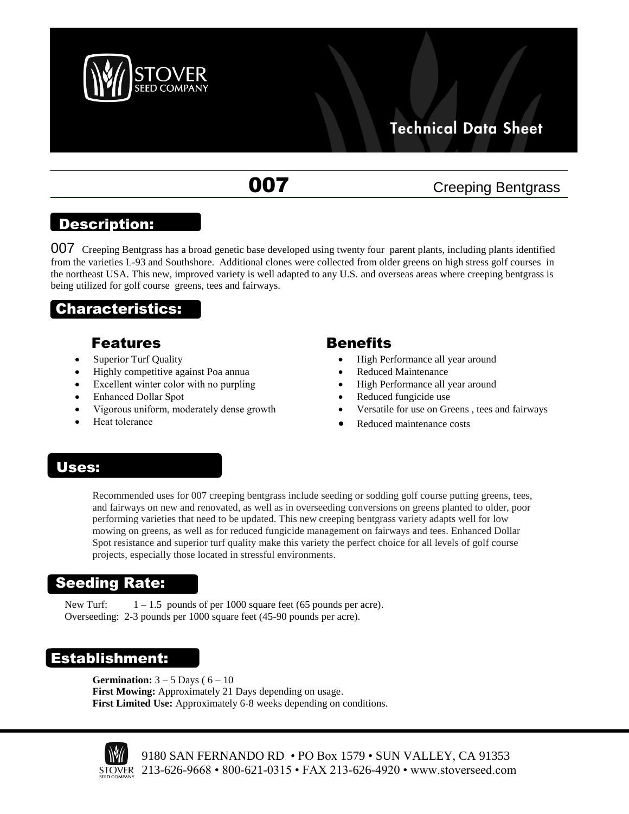

# **Technical Data Sheet**

# **007** Creeping Bentgrass

## Description:

007 Creeping Bentgrass has a broad genetic base developed using twenty four parent plants, including plants identified from the varieties L-93 and Southshore. Additional clones were collected from older greens on high stress golf courses in the northeast USA. This new, improved variety is well adapted to any U.S. and overseas areas where creeping bentgrass is being utilized for golf course greens, tees and fairways.

## Characteristics:

#### Features

- Superior Turf Quality
- Highly competitive against Poa annua
- Excellent winter color with no purpling
- Enhanced Dollar Spot
- Vigorous uniform, moderately dense growth
- Heat tolerance

#### **Benefits**

- High Performance all year around
- Reduced Maintenance
- High Performance all year around
- Reduced fungicide use
- Versatile for use on Greens , tees and fairways
- Reduced maintenance costs

## Uses:

Recommended uses for 007 creeping bentgrass include seeding or sodding golf course putting greens, tees, and fairways on new and renovated, as well as in overseeding conversions on greens planted to older, poor performing varieties that need to be updated. This new creeping bentgrass variety adapts well for low mowing on greens, as well as for reduced fungicide management on fairways and tees. Enhanced Dollar Spot resistance and superior turf quality make this variety the perfect choice for all levels of golf course projects, especially those located in stressful environments.

## Seeding Rate:

New Turf:  $1 - 1.5$  pounds of per 1000 square feet (65 pounds per acre). Overseeding: 2-3 pounds per 1000 square feet (45-90 pounds per acre).

## Establishment:

**Germination:**  $3 - 5$  Days ( $6 - 10$ **First Mowing:** Approximately 21 Days depending on usage. **First Limited Use:** Approximately 6-8 weeks depending on conditions.